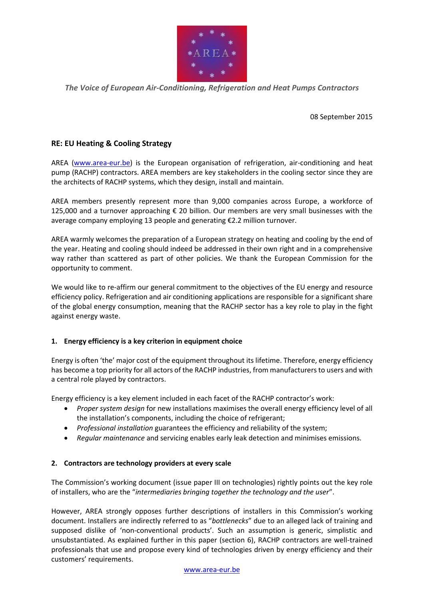

*The Voice of European Air-Conditioning, Refrigeration and Heat Pumps Contractors*

08 September 2015

# **RE: EU Heating & Cooling Strategy**

AREA [\(www.area-eur.be\)](http://www.area-eur.be/) is the European organisation of refrigeration, air-conditioning and heat pump (RACHP) contractors. AREA members are key stakeholders in the cooling sector since they are the architects of RACHP systems, which they design, install and maintain.

AREA members presently represent more than 9,000 companies across Europe, a workforce of 125,000 and a turnover approaching  $\epsilon$  20 billion. Our members are very small businesses with the average company employing 13 people and generating €2.2 million turnover.

AREA warmly welcomes the preparation of a European strategy on heating and cooling by the end of the year. Heating and cooling should indeed be addressed in their own right and in a comprehensive way rather than scattered as part of other policies. We thank the European Commission for the opportunity to comment.

We would like to re-affirm our general commitment to the objectives of the EU energy and resource efficiency policy. Refrigeration and air conditioning applications are responsible for a significant share of the global energy consumption, meaning that the RACHP sector has a key role to play in the fight against energy waste.

### **1. Energy efficiency is a key criterion in equipment choice**

Energy is often 'the' major cost of the equipment throughout its lifetime. Therefore, energy efficiency has become a top priority for all actors of the RACHP industries, from manufacturers to users and with a central role played by contractors.

Energy efficiency is a key element included in each facet of the RACHP contractor's work:

- *Proper system design* for new installations maximises the overall energy efficiency level of all the installation's components, including the choice of refrigerant;
- *Professional installation* guarantees the efficiency and reliability of the system;
- *Regular maintenance* and servicing enables early leak detection and minimises emissions.

### **2. Contractors are technology providers at every scale**

The Commission's working document (issue paper III on technologies) rightly points out the key role of installers, who are the "*intermediaries bringing together the technology and the user*".

However, AREA strongly opposes further descriptions of installers in this Commission's working document. Installers are indirectly referred to as "*bottlenecks*" due to an alleged lack of training and supposed dislike of 'non-conventional products'. Such an assumption is generic, simplistic and unsubstantiated. As explained further in this paper (section 6), RACHP contractors are well-trained professionals that use and propose every kind of technologies driven by energy efficiency and their customers' requirements.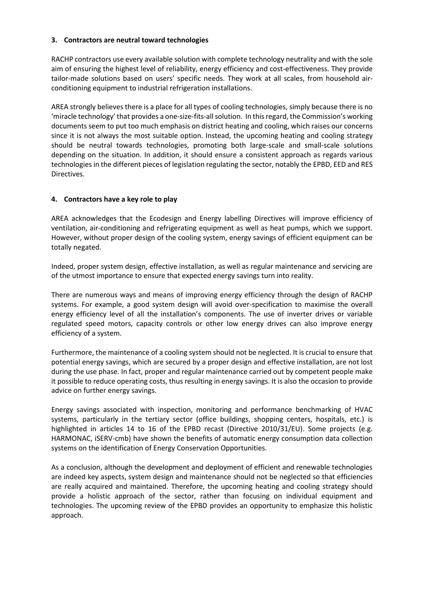### **3. Contractors are neutral toward technologies**

RACHP contractors use every available solution with complete technology neutrality and with the sole aim of ensuring the highest level of reliability, energy efficiency and cost-effectiveness. They provide tailor-made solutions based on users' specific needs. They work at all scales, from household airconditioning equipment to industrial refrigeration installations.

AREA strongly believes there is a place for all types of cooling technologies, simply because there is no 'miracle technology' that provides a one-size-fits-all solution. In this regard, the Commission's working documents seem to put too much emphasis on district heating and cooling, which raises our concerns since it is not always the most suitable option. Instead, the upcoming heating and cooling strategy should be neutral towards technologies, promoting both large-scale and small-scale solutions depending on the situation. In addition, it should ensure a consistent approach as regards various technologies in the different pieces of legislation regulating the sector, notably the EPBD, EED and RES Directives.

# **4. Contractors have a key role to play**

AREA acknowledges that the Ecodesign and Energy labelling Directives will improve efficiency of ventilation, air-conditioning and refrigerating equipment as well as heat pumps, which we support. However, without proper design of the cooling system, energy savings of efficient equipment can be totally negated.

Indeed, proper system design, effective installation, as well as regular maintenance and servicing are of the utmost importance to ensure that expected energy savings turn into reality.

There are numerous ways and means of improving energy efficiency through the design of RACHP systems. For example, a good system design will avoid over-specification to maximise the overall energy efficiency level of all the installation's components. The use of inverter drives or variable regulated speed motors, capacity controls or other low energy drives can also improve energy efficiency of a system.

Furthermore, the maintenance of a cooling system should not be neglected. It is crucial to ensure that potential energy savings, which are secured by a proper design and effective installation, are not lost during the use phase. In fact, proper and regular maintenance carried out by competent people make it possible to reduce operating costs, thus resulting in energy savings. It is also the occasion to provide advice on further energy savings.

Energy savings associated with inspection, monitoring and performance benchmarking of HVAC systems, particularly in the tertiary sector (office buildings, shopping centers, hospitals, etc.) is highlighted in articles 14 to 16 of the EPBD recast (Directive 2010/31/EU). Some projects (e.g. HARMONAC, iSERV-cmb) have shown the benefits of automatic energy consumption data collection systems on the identification of Energy Conservation Opportunities.

As a conclusion, although the development and deployment of efficient and renewable technologies are indeed key aspects, system design and maintenance should not be neglected so that efficiencies are really acquired and maintained. Therefore, the upcoming heating and cooling strategy should provide a holistic approach of the sector, rather than focusing on individual equipment and technologies. The upcoming review of the EPBD provides an opportunity to emphasize this holistic approach.